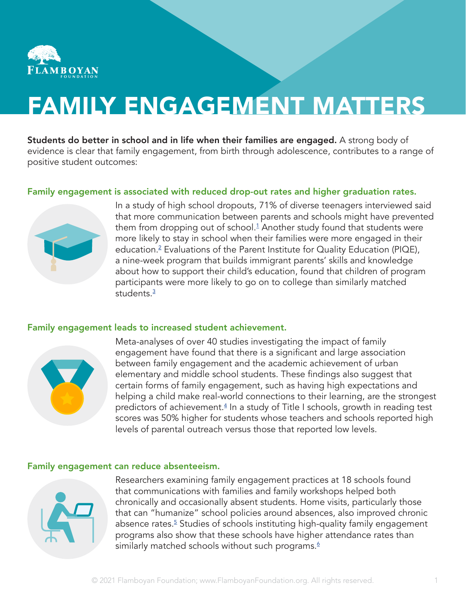

# FAMILY ENGAGEMENT MATTERS

Students do better in school and in life when their families are engaged. A strong body of evidence is clear that family engagement, from birth through adolescence, contributes to a range of positive student outcomes:

# Family engagement is associated with reduced drop-out rates and higher graduation rates.



In a study of high school dropouts, 71% of diverse teenagers interviewed said that more communication between parents and schools might have prevented them from dropping out of school.<sup>[1](#page-2-0)</sup> Another study found that students were more likely to stay in school when their families were more engaged in their education.[2](#page-2-0) Evaluations of the Parent Institute for Quality Education (PIQE), a nine-week program that builds immigrant parents' skills and knowledge about how to support their child's education, found that children of program participants were more likely to go on to college than similarly matched students.<sup>[3](#page-2-0)</sup>

#### Family engagement leads to increased student achievement.



Meta-analyses of over 40 studies investigating the impact of family engagement have found that there is a significant and large association between family engagement and the academic achievement of urban elementary and middle school students. These findings also suggest that certain forms of family engagement, such as having high expectations and helping a child make real-world connections to their learning, are the strongest predictors of achievement.<sup>[4](#page-2-0)</sup> In a study of Title I schools, growth in reading test scores was 50% higher for students whose teachers and schools reported high levels of parental outreach versus those that reported low levels.

## Family engagement can reduce absenteeism.



Researchers examining family engagement practices at 18 schools found that communications with families and family workshops helped both chronically and occasionally absent students. Home visits, particularly those that can "humanize" school policies around absences, also improved chronic absence rates.<sup>[5](#page-2-0)</sup> Studies of schools instituting high-quality family engagement programs also show that these schools have higher attendance rates than similarly matched schools without such programs. $6$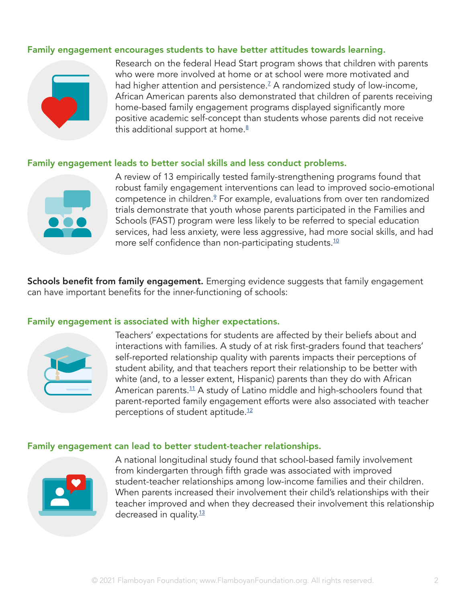## Family engagement encourages students to have better attitudes towards learning.



Research on the federal Head Start program shows that children with parents who were more involved at home or at school were more motivated and had higher attention and persistence. $^{\mathsf{Z}}$  A randomized study of low-income, African American parents also demonstrated that children of parents receiving home-based family engagement programs displayed significantly more positive academic self-concept than students whose parents did not receive this additional support at home. $8$ 

#### Family engagement leads to better social skills and less conduct problems.



A review of 13 empirically tested family-strengthening programs found that robust family engagement interventions can lead to improved socio-emotional competence in children.<sup>2</sup> For example, evaluations from over ten randomized trials demonstrate that youth whose parents participated in the Families and Schools (FAST) program were less likely to be referred to special education services, had less anxiety, were less aggressive, had more social skills, and had more self confidence than non-participating students. $10$ 

Schools benefit from family engagement. Emerging evidence suggests that family engagement can have important benefits for the inner-functioning of schools:

#### Family engagement is associated with higher expectations.



Teachers' expectations for students are affected by their beliefs about and interactions with families. A study of at risk first-graders found that teachers' self-reported relationship quality with parents impacts their perceptions of student ability, and that teachers report their relationship to be better with white (and, to a lesser extent, Hispanic) parents than they do with African American parents.<sup>[11](#page-2-0)</sup> A study of Latino middle and high-schoolers found that parent-reported family engagement efforts were also associated with teacher perceptions of student aptitude.<sup>[12](#page-2-0)</sup>

#### Family engagement can lead to better student-teacher relationships.



A national longitudinal study found that school-based family involvement from kindergarten through fifth grade was associated with improved student-teacher relationships among low-income families and their children. When parents increased their involvement their child's relationships with their teacher improved and when they decreased their involvement this relationship decreased in quality.<sup>[13](#page-2-0)</sup>